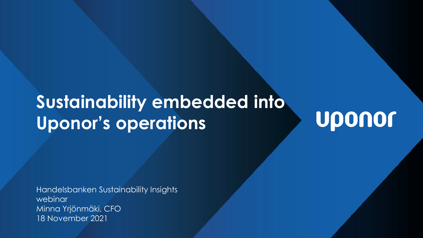# **Sustainability embedded into Uponor's operations**

Uponor

Handelsbanken Sustainability Insights webinar Minna Yrjönmäki, CFO 18 November 2021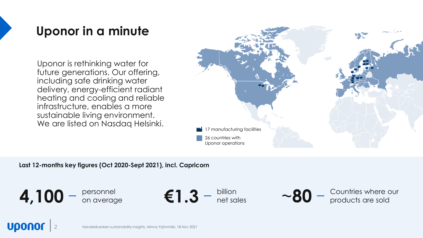## **Uponor in a minute**

Uponor is rethinking water for future generations. Our offering, including safe drinking water delivery, energy-efficient radiant heating and cooling and reliable infrastructure, enables a more sustainable living environment. We are listed on Nasdaq Helsinki.



**Last 12-months key figures (Oct 2020-Sept 2021), incl. Capricorn** 

 $4,100 - \frac{\text{personnel}}{\text{on average}}$ 

on average **€1.3** billion net sales



~80 - Countries where our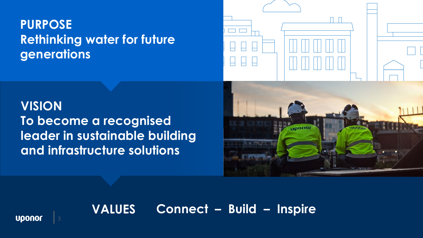## **PURPOSE Rethinking water for future generations**



**VISION To become a recognised leader in sustainable building and infrastructure solutions**



## **VALUES Connect – Build – Inspire**

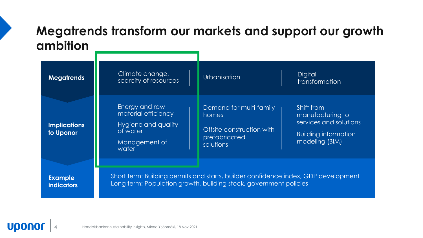## **Megatrends transform our markets and support our growth ambition**

| <b>Megatrends</b>                   | Climate change,<br>scarcity of resources                                                           | Urbanisation                                                                                                                                            | <b>Digital</b><br><i>transformation</i>                                                                   |
|-------------------------------------|----------------------------------------------------------------------------------------------------|---------------------------------------------------------------------------------------------------------------------------------------------------------|-----------------------------------------------------------------------------------------------------------|
| <b>Implications</b><br>to Uponor    | Energy and raw<br>material efficiency<br>Hygiene and quality<br>of water<br>Management of<br>water | Demand for multi-family<br>homes<br>Offsite construction with<br>prefabricated<br>solutions                                                             | Shift from<br>manufacturing to<br>services and solutions<br><b>Building information</b><br>modeling (BIM) |
| <b>Example</b><br><b>indicators</b> |                                                                                                    | Short term: Building permits and starts, builder confidence index, GDP development<br>Long term: Population growth, building stock, government policies |                                                                                                           |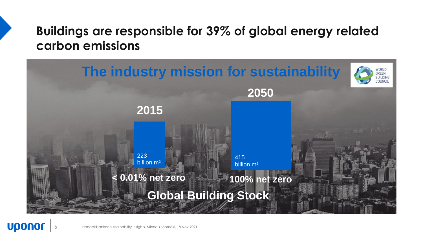## **Buildings are responsible for 39% of global energy related carbon emissions**

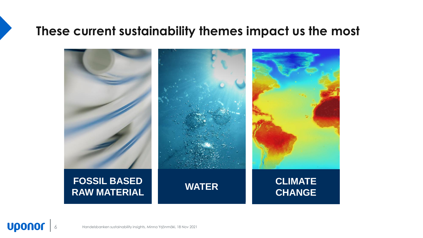## **These current sustainability themes impact us the most**



**Uponor**  $\vert\vert$  6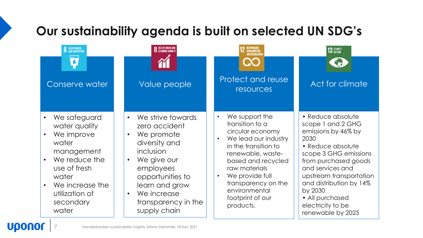## **Our sustainability agenda is built on selected UN SDG's**



Handelsbanken sustainability insights, Minna Yrjönmäki, 18 Nov 2021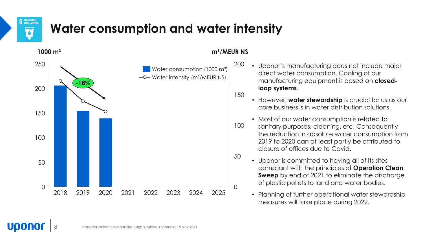

UDON

## **Water consumption and water intensity**



#### **1000 m<sup>2</sup> m<sup>3</sup>/MEUR NS**

• Uponor's manufacturing does not include major direct water consumption. Cooling of our manufacturing equipment is based on **closedloop systems**.

150

- However, **water stewardship** is crucial for us as our core business is in water distribution solutions.
- Most of our water consumption is related to
- sanitary purposes, cleaning, etc. Consequently the reduction in absolute water consumption from 2019 to 2020 can at least partly be attributed to closure of offices due to Covid. 100
	- Uponor is committed to having all of its sites compliant with the principles of **Operation Clean Sweep** by end of 2021 to eliminate the discharge of plastic pellets to land and water bodies.
	- Planning of further operational water stewardship measures will take place during 2022.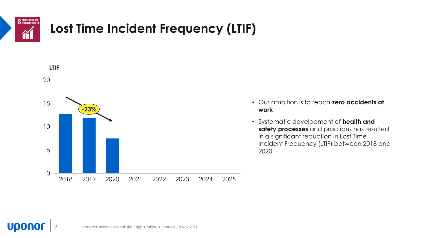

## **Lost Time Incident Frequency (LTIF)**

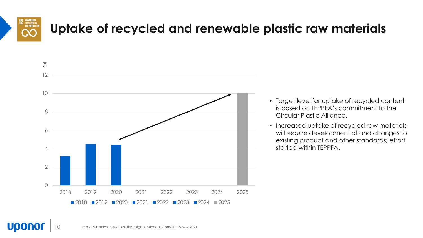

**Upono** 

## **Uptake of recycled and renewable plastic raw materials**



- Target level for uptake of recycled content is based on TEPPFA's commitment to the Circular Plastic Alliance.
- Increased uptake of recycled raw materials will require development of and changes to existing product and other standards; effort started within TEPPFA.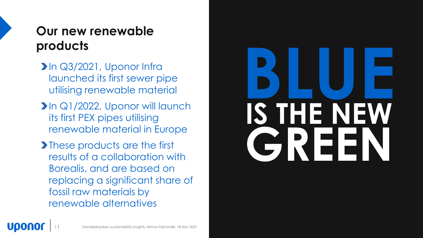## **Our new renewable products**

- In Q3/2021, Uponor Infra launched its first sewer pipe utilising renewable material
- In Q1/2022, Uponor will launch its first PEX pipes utilising renewable material in Europe
- **These products are the first** results of a collaboration with Borealis, and are based on replacing a significant share of fossil raw materials by renewable alternatives

# **BLUE GREEN IS THE NEW**

UDON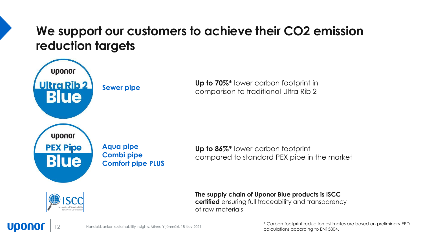## **We support our customers to achieve their CO2 emission reduction targets**



**Up to 70%\*** lower carbon footprint in comparison to traditional Ultra Rib 2

**Comfort pipe PLUS** 

**Up to 86%\*** lower carbon footprint compared to standard PEX pipe in the market



**The supply chain of Uponor Blue products is ISCC certified** ensuring full traceability and transparency of raw materials



Handelsbanken sustainability insights, Minna Yrjönmäki, 18 Nov 2021

\* Carbon footprint reduction estimates are based on preliminary EPD calculations according to EN15804.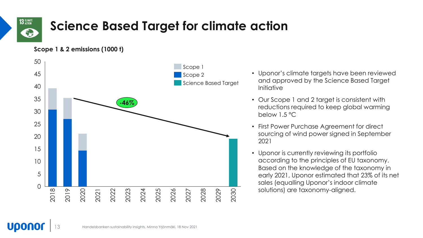

**Upono** 

## **Science Based Target for climate action**

**Scope 1 & 2 emissions (1000 t)**



- Uponor's climate targets have been reviewed and approved by the Science Based Target Initiative
- Our Scope 1 and 2 target is consistent with reductions required to keep global warming below 1.5 °C
- First Power Purchase Agreement for direct sourcing of wind power signed in September 2021
- Uponor is currently reviewing its portfolio according to the principles of EU taxonomy. Based on the knowledge of the taxonomy in early 2021, Uponor estimated that 23% of its net sales (equalling Uponor's indoor climate solutions) are taxonomy-aligned.